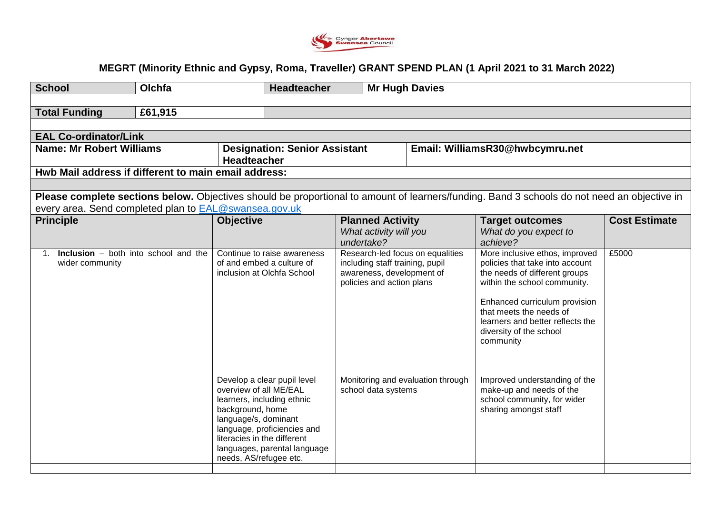

## **MEGRT (Minority Ethnic and Gypsy, Roma, Traveller) GRANT SPEND PLAN (1 April 2021 to 31 March 2022)**

| <b>School</b>                                                    | Olchfa  |                                                                                                                                                                               | <b>Headteacher</b>                                          |                                                                                                                                                                                           | <b>Mr Hugh Davies</b> |  |                                                                                                                                                                                                                                                                                                                                                                        |                      |  |
|------------------------------------------------------------------|---------|-------------------------------------------------------------------------------------------------------------------------------------------------------------------------------|-------------------------------------------------------------|-------------------------------------------------------------------------------------------------------------------------------------------------------------------------------------------|-----------------------|--|------------------------------------------------------------------------------------------------------------------------------------------------------------------------------------------------------------------------------------------------------------------------------------------------------------------------------------------------------------------------|----------------------|--|
|                                                                  |         |                                                                                                                                                                               |                                                             |                                                                                                                                                                                           |                       |  |                                                                                                                                                                                                                                                                                                                                                                        |                      |  |
| <b>Total Funding</b>                                             | £61,915 |                                                                                                                                                                               |                                                             |                                                                                                                                                                                           |                       |  |                                                                                                                                                                                                                                                                                                                                                                        |                      |  |
|                                                                  |         |                                                                                                                                                                               |                                                             |                                                                                                                                                                                           |                       |  |                                                                                                                                                                                                                                                                                                                                                                        |                      |  |
| <b>EAL Co-ordinator/Link</b>                                     |         |                                                                                                                                                                               |                                                             |                                                                                                                                                                                           |                       |  |                                                                                                                                                                                                                                                                                                                                                                        |                      |  |
| <b>Name: Mr Robert Williams</b>                                  |         | <b>Designation: Senior Assistant</b><br><b>Headteacher</b>                                                                                                                    |                                                             |                                                                                                                                                                                           |                       |  | Email: WilliamsR30@hwbcymru.net                                                                                                                                                                                                                                                                                                                                        |                      |  |
| Hwb Mail address if different to main email address:             |         |                                                                                                                                                                               |                                                             |                                                                                                                                                                                           |                       |  |                                                                                                                                                                                                                                                                                                                                                                        |                      |  |
|                                                                  |         |                                                                                                                                                                               |                                                             |                                                                                                                                                                                           |                       |  |                                                                                                                                                                                                                                                                                                                                                                        |                      |  |
|                                                                  |         |                                                                                                                                                                               |                                                             |                                                                                                                                                                                           |                       |  | Please complete sections below. Objectives should be proportional to amount of learners/funding. Band 3 schools do not need an objective in                                                                                                                                                                                                                            |                      |  |
| every area. Send completed plan to <b>EAL@swansea.gov.uk</b>     |         |                                                                                                                                                                               |                                                             |                                                                                                                                                                                           |                       |  |                                                                                                                                                                                                                                                                                                                                                                        |                      |  |
| <b>Principle</b>                                                 |         | <b>Objective</b>                                                                                                                                                              |                                                             | <b>Planned Activity</b><br>What activity will you<br>undertake?                                                                                                                           |                       |  | <b>Target outcomes</b><br>What do you expect to<br>achieve?                                                                                                                                                                                                                                                                                                            | <b>Cost Estimate</b> |  |
| <b>Inclusion</b> $-$ both into school and the<br>wider community |         | Continue to raise awareness<br>of and embed a culture of<br>inclusion at Olchfa School<br>Develop a clear pupil level<br>overview of all ME/EAL<br>learners, including ethnic |                                                             | Research-led focus on equalities<br>including staff training, pupil<br>awareness, development of<br>policies and action plans<br>Monitoring and evaluation through<br>school data systems |                       |  | More inclusive ethos, improved<br>policies that take into account<br>the needs of different groups<br>within the school community.<br>Enhanced curriculum provision<br>that meets the needs of<br>learners and better reflects the<br>diversity of the school<br>community<br>Improved understanding of the<br>make-up and needs of the<br>school community, for wider | £5000                |  |
|                                                                  |         | background, home<br>language/s, dominant<br>literacies in the different<br>needs, AS/refugee etc.                                                                             | language, proficiencies and<br>languages, parental language |                                                                                                                                                                                           |                       |  | sharing amongst staff                                                                                                                                                                                                                                                                                                                                                  |                      |  |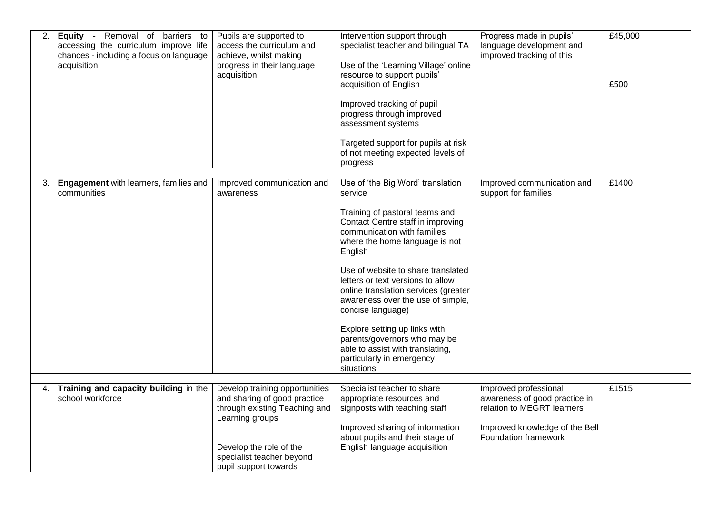| 2. | Equity - Removal of barriers to<br>accessing the curriculum improve life<br>chances - including a focus on language<br>acquisition | Pupils are supported to<br>access the curriculum and<br>achieve, whilst making<br>progress in their language<br>acquisition                                                                         | Intervention support through<br>specialist teacher and bilingual TA<br>Use of the 'Learning Village' online<br>resource to support pupils'<br>acquisition of English<br>Improved tracking of pupil<br>progress through improved<br>assessment systems<br>Targeted support for pupils at risk<br>of not meeting expected levels of<br>progress                                                                                                                                                                                | Progress made in pupils'<br>language development and<br>improved tracking of this                                                              | £45,000<br>£500 |
|----|------------------------------------------------------------------------------------------------------------------------------------|-----------------------------------------------------------------------------------------------------------------------------------------------------------------------------------------------------|------------------------------------------------------------------------------------------------------------------------------------------------------------------------------------------------------------------------------------------------------------------------------------------------------------------------------------------------------------------------------------------------------------------------------------------------------------------------------------------------------------------------------|------------------------------------------------------------------------------------------------------------------------------------------------|-----------------|
| З. | Engagement with learners, families and<br>communities                                                                              | Improved communication and<br>awareness                                                                                                                                                             | Use of 'the Big Word' translation<br>service<br>Training of pastoral teams and<br>Contact Centre staff in improving<br>communication with families<br>where the home language is not<br>English<br>Use of website to share translated<br>letters or text versions to allow<br>online translation services (greater<br>awareness over the use of simple,<br>concise language)<br>Explore setting up links with<br>parents/governors who may be<br>able to assist with translating,<br>particularly in emergency<br>situations | Improved communication and<br>support for families                                                                                             | £1400           |
|    |                                                                                                                                    |                                                                                                                                                                                                     |                                                                                                                                                                                                                                                                                                                                                                                                                                                                                                                              |                                                                                                                                                |                 |
| 4. | Training and capacity building in the<br>school workforce                                                                          | Develop training opportunities<br>and sharing of good practice<br>through existing Teaching and<br>Learning groups<br>Develop the role of the<br>specialist teacher beyond<br>pupil support towards | Specialist teacher to share<br>appropriate resources and<br>signposts with teaching staff<br>Improved sharing of information<br>about pupils and their stage of<br>English language acquisition                                                                                                                                                                                                                                                                                                                              | Improved professional<br>awareness of good practice in<br>relation to MEGRT learners<br>Improved knowledge of the Bell<br>Foundation framework | £1515           |